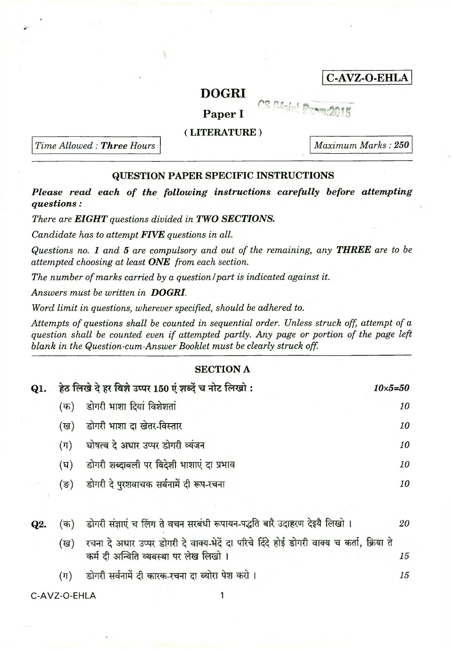## <span id="page-0-1"></span>**C-AVZ-O-EHLA**

# DOGRI<br>Paper I CS Main Paper I

#### **( LITERATURE )**

*Time Allowed : Three Hours*

*Maximum Marks : 250*

### **QUESTION PAPER SPECIFIC INSTRUCTIONS**

*Please read each of the following instructions carefully before attempting questions:*

*There are EIGHT questions divided in TWO SECTIONS.*

*Candidate has to attempt FIVE questions in all.*

*Questions no. 1 and 5 are compulsory and out of the remaining, any THREE are to be attempted choosing at least ONE from each section.*

*The number of marks carried by a question I part is indicated against it.*

*Answers must be written in DOGRI.*

*Word limit in questions, wherever specified, should be adhered to.*

Attempts of questions shall be counted in sequential order. Unless struck off, attempt of a *question shall be counted even if attempted partly. Any page or portion of the page left blank in the Question-cum-Answer Booklet must be clearly struck off.*

#### **SECTION A**

| Q1. | हेठ लिखे दे हर विशे उप्पर 150 एं शब्दें च नोट लिखो : |                                             | $10\times5 = 50$ |
|-----|------------------------------------------------------|---------------------------------------------|------------------|
|     | (क)                                                  | डोगरी भाशा दियां विशेशतां                   | 10               |
|     |                                                      | (ख) डोगरी भाशा दा खेतर-विस्तार              | 10               |
|     |                                                      | (ग) घोषत्व दे अधार उप्पर डोगरी व्यंजन       | 10               |
|     | (घ)                                                  | डोगरी शब्दावली पर विदेशी भाशाएं दा प्रभाव   | 10               |
|     |                                                      | (ङ) डोगरी दे पुरशवाचक सर्वनामें दी रूप-रचना | 10               |
|     |                                                      |                                             |                  |

<span id="page-0-0"></span>

| Q2. |     | (क) - डोगरी संज्ञाएं च लिंग ते वचन सरबंधी रूपायन-पद्धति बारै उदाहरण देइयै लिखो ।                                                   | 20 |
|-----|-----|------------------------------------------------------------------------------------------------------------------------------------|----|
|     | (ख) | रचना दे अधार उप्पर डोगरी दे वाक्य-भेदें दा परिचे दिंदे होई डोगरी वाक्य च कर्ता, क्रिया ते<br>कर्म दी अन्विति व्यवस्था पर लेख लिखो। | 15 |
|     |     | डोगरी सर्वनामें दी कारक-रचना दा ब्योरा पेश करो ।                                                                                   | 15 |

[C-AVZ-O-EHLA 1](#page-0-1)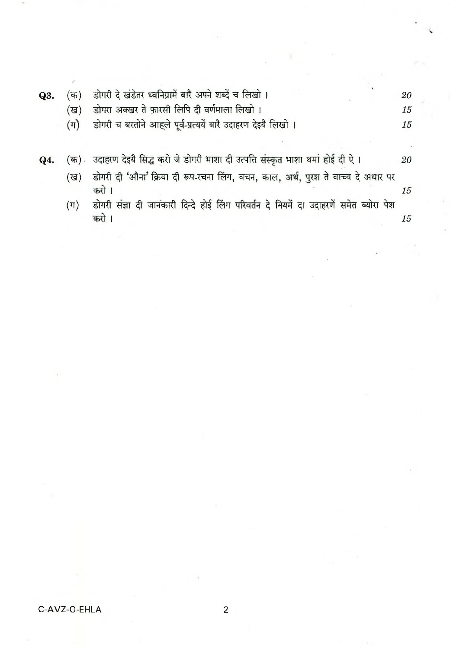| Q3. | 'क)     | डोगरी दे खंडेतर ध्वनिग्रामें बारै अपने शब्दें च लिखो।                                     | 20        |
|-----|---------|-------------------------------------------------------------------------------------------|-----------|
|     | (ख)     | डोगरा अक्खर ते फ़ारसी लिपि दी वर्णमाला लिखो ।                                             | 15        |
|     | $(\pi)$ | डोगरी च बरतोने आहले पूर्व-प्रत्ययें बारै उदाहरण देइयै लिखो ।                              | 15        |
|     |         |                                                                                           |           |
| Q4. | (क) -   | उदाहरण देइयै सिद्ध करो जे डोगरी भाशा दी उत्पत्ति संस्कृत भाशा थमां होई दी ऐ।              | <i>20</i> |
|     | (ख)     | डोगरी दी 'औना' क्रिया दी रूप-रचना लिंग, वचन, काल, अर्थ, पुरश ते वाच्य दे अधार पर<br>करो । | 15        |
|     | (ग)     | डोगरी संज्ञा दी जानकारी दिन्दे होई लिंग परिवर्तन दे नियमें दा उदाहरणें समेत ब्योरा पेश    |           |
|     |         | करो                                                                                       | 15        |
|     |         |                                                                                           |           |

 $\overline{2}$